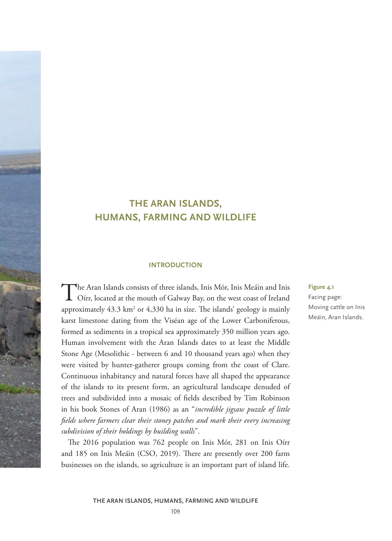# **THE ARAN ISLANDS, HUMANS, FARMING AND WILDLIFE**

## **INTRODUCTION**

The Aran Islands consists of three islands, Inis Mór, Inis Meáin and Inis<br>Oírr, located at the mouth of Galway Bay, on the west coast of Ireland approximately 43.3 km<sup>2</sup> or 4,330 ha in size. The islands' geology is mainly karst limestone dating from the Viséan age of the Lower Carboniferous, formed as sediments in a tropical sea approximately 350 million years ago. Human involvement with the Aran Islands dates to at least the Middle Stone Age (Mesolithic - between 6 and 10 thousand years ago) when they were visited by hunter-gatherer groups coming from the coast of Clare. Continuous inhabitancy and natural forces have all shaped the appearance of the islands to its present form, an agricultural landscape denuded of trees and subdivided into a mosaic of fields described by Tim Robinson in his book Stones of Aran (1986) as an "*incredible jigsaw puzzle of little fields where farmers clear their stoney patches and mark their every increasing subdivision of their holdings by building walls*".

The 2016 population was 762 people on Inis Mór, 281 on Inis Oírr and 185 on Inis Meáin (CSO, 2019). There are presently over 200 farm businesses on the islands, so agriculture is an important part of island life.

#### **Figure 4.1**

Facing page: Moving cattle on Inis Meáin, Aran Islands.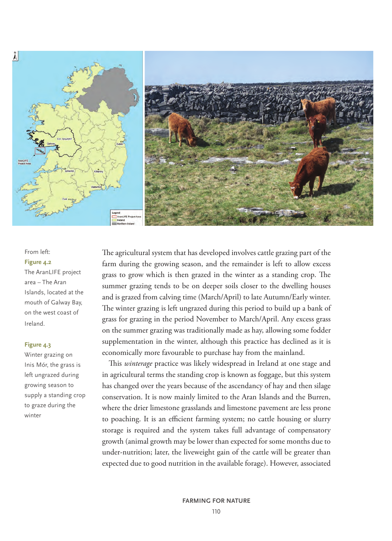

# From left: **Figure 4.2**

The AranLIFE project area – The Aran Islands, located at the mouth of Galway Bay, on the west coast of Ireland.

### **Figure 4.3**

Winter grazing on Inis Mór, the grass is left ungrazed during growing season to supply a standing crop to graze during the winter

The agricultural system that has developed involves cattle grazing part of the farm during the growing season, and the remainder is left to allow excess grass to grow which is then grazed in the winter as a standing crop. The summer grazing tends to be on deeper soils closer to the dwelling houses and is grazed from calving time (March/April) to late Autumn/Early winter. The winter grazing is left ungrazed during this period to build up a bank of grass for grazing in the period November to March/April. Any excess grass on the summer grazing was traditionally made as hay, allowing some fodder supplementation in the winter, although this practice has declined as it is economically more favourable to purchase hay from the mainland.

This *winterage* practice was likely widespread in Ireland at one stage and in agricultural terms the standing crop is known as foggage, but this system has changed over the years because of the ascendancy of hay and then silage conservation. It is now mainly limited to the Aran Islands and the Burren, where the drier limestone grasslands and limestone pavement are less prone to poaching. It is an efficient farming system; no cattle housing or slurry storage is required and the system takes full advantage of compensatory growth (animal growth may be lower than expected for some months due to under-nutrition; later, the liveweight gain of the cattle will be greater than expected due to good nutrition in the available forage). However, associated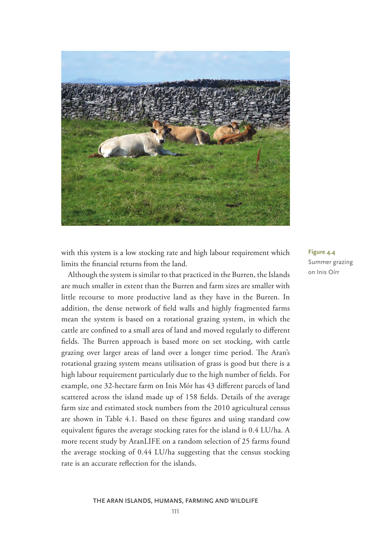

with this system is a low stocking rate and high labour requirement which limits the financial returns from the land.

Although the system is similar to that practiced in the Burren, the Islands are much smaller in extent than the Burren and farm sizes are smaller with little recourse to more productive land as they have in the Burren. In addition, the dense network of field walls and highly fragmented farms mean the system is based on a rotational grazing system, in which the cattle are confined to a small area of land and moved regularly to different fields. The Burren approach is based more on set stocking, with cattle grazing over larger areas of land over a longer time period. The Aran's rotational grazing system means utilisation of grass is good but there is a high labour requirement particularly due to the high number of fields. For example, one 32-hectare farm on Inis Mór has 43 different parcels of land scattered across the island made up of 158 fields. Details of the average farm size and estimated stock numbers from the 2010 agricultural census are shown in Table 4.1. Based on these figures and using standard cow equivalent figures the average stocking rates for the island is 0.4 LU/ha. A more recent study by AranLIFE on a random selection of 25 farms found the average stocking of 0.44 LU/ha suggesting that the census stocking rate is an accurate reflection for the islands.

**Figure 4.4**  Summer grazing on Inis Oírr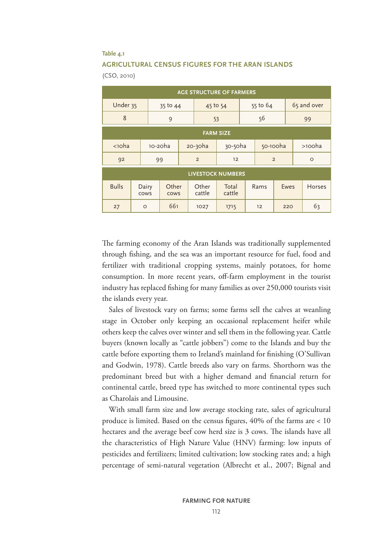# **Table 4.1 AGRICULTURAL CENSUS FIGURES FOR THE ARAN ISLANDS**

(CSO, 2010)

| <b>AGE STRUCTURE OF FARMERS</b> |                      |    |                      |  |                      |                 |    |                |      |              |        |
|---------------------------------|----------------------|----|----------------------|--|----------------------|-----------------|----|----------------|------|--------------|--------|
| Under 35                        |                      |    | 35 to 44             |  | 45 to 54             |                 |    | 55 to 64       |      | 65 and over  |        |
| 8                               |                      |    | 9                    |  | 53                   |                 | 56 |                |      |              | 99     |
| <b>FARM SIZE</b>                |                      |    |                      |  |                      |                 |    |                |      |              |        |
| $10$ ha                         |                      |    | 10-20ha              |  | 30-50ha<br>$20-30ha$ |                 |    | 50-100ha       |      | $>$ 100 $ha$ |        |
| 92                              |                      | 99 |                      |  | $\overline{2}$       | 12              |    | $\overline{2}$ |      | $\circ$      |        |
| <b>LIVESTOCK NUMBERS</b>        |                      |    |                      |  |                      |                 |    |                |      |              |        |
| <b>Bulls</b>                    | Dairy<br><b>COWS</b> |    | Other<br><b>COWS</b> |  | Other<br>cattle      | Total<br>cattle |    | Rams           | Ewes |              | Horses |
| 27                              | $\circ$              |    | 661                  |  | 1027                 | 1715            |    | 12             | 220  |              | 63     |

The farming economy of the Aran Islands was traditionally supplemented through fishing, and the sea was an important resource for fuel, food and fertilizer with traditional cropping systems, mainly potatoes, for home consumption. In more recent years, off-farm employment in the tourist industry has replaced fishing for many families as over 250,000 tourists visit the islands every year.

Sales of livestock vary on farms; some farms sell the calves at weanling stage in October only keeping an occasional replacement heifer while others keep the calves over winter and sell them in the following year. Cattle buyers (known locally as "cattle jobbers") come to the Islands and buy the cattle before exporting them to Ireland's mainland for finishing (O'Sullivan and Godwin, 1978). Cattle breeds also vary on farms. Shorthorn was the predominant breed but with a higher demand and financial return for continental cattle, breed type has switched to more continental types such as Charolais and Limousine.

With small farm size and low average stocking rate, sales of agricultural produce is limited. Based on the census figures, 40% of the farms are < 10 hectares and the average beef cow herd size is 3 cows. The islands have all the characteristics of High Nature Value (HNV) farming: low inputs of pesticides and fertilizers; limited cultivation; low stocking rates and; a high percentage of semi-natural vegetation (Albrecht et al., 2007; Bignal and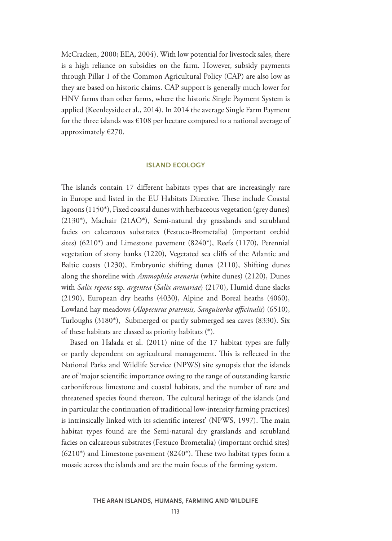McCracken, 2000; EEA, 2004). With low potential for livestock sales, there is a high reliance on subsidies on the farm. However, subsidy payments through Pillar 1 of the Common Agricultural Policy (CAP) are also low as they are based on historic claims. CAP support is generally much lower for HNV farms than other farms, where the historic Single Payment System is applied (Keenleyside et al., 2014). In 2014 the average Single Farm Payment for the three islands was €108 per hectare compared to a national average of approximately  $E$ 270.

## **ISLAND ECOLOGY**

The islands contain 17 different habitats types that are increasingly rare in Europe and listed in the EU Habitats Directive. These include Coastal lagoons (1150\*), Fixed coastal dunes with herbaceous vegetation (grey dunes) (2130\*), Machair (21AO\*), Semi-natural dry grasslands and scrubland facies on calcareous substrates (Festuco-Brometalia) (important orchid sites)  $(6210^*)$  and Limestone pavement  $(8240^*)$ , Reefs  $(1170)$ , Perennial vegetation of stony banks (1220), Vegetated sea cliffs of the Atlantic and Baltic coasts (1230), Embryonic shifting dunes (2110), Shifting dunes along the shoreline with *Ammophila arenaria* (white dunes) (2120), Dunes with *Salix repens* ssp. *argentea* (*Salix arenariae*) (2170), Humid dune slacks (2190), European dry heaths (4030), Alpine and Boreal heaths (4060), Lowland hay meadows (*Alopecurus pratensis, Sanguisorba officinalis*) (6510), Turloughs (3180\*), Submerged or partly submerged sea caves (8330). Six of these habitats are classed as priority habitats (\*).

Based on Halada et al. (2011) nine of the 17 habitat types are fully or partly dependent on agricultural management. This is reflected in the National Parks and Wildlife Service (NPWS) site synopsis that the islands are of 'major scientific importance owing to the range of outstanding karstic carboniferous limestone and coastal habitats, and the number of rare and threatened species found thereon. The cultural heritage of the islands (and in particular the continuation of traditional low-intensity farming practices) is intrinsically linked with its scientific interest' (NPWS, 1997). The main habitat types found are the Semi-natural dry grasslands and scrubland facies on calcareous substrates (Festuco Brometalia) (important orchid sites)  $(6210^*)$  and Limestone pavement  $(8240^*)$ . These two habitat types form a mosaic across the islands and are the main focus of the farming system.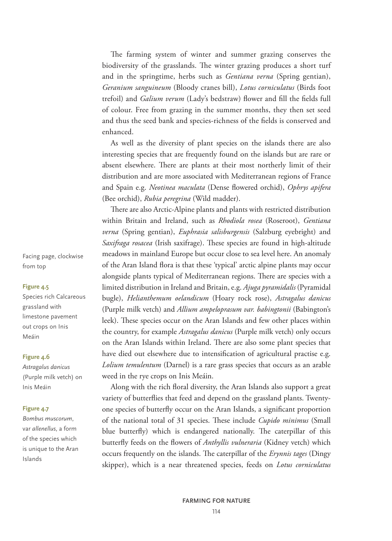The farming system of winter and summer grazing conserves the biodiversity of the grasslands. The winter grazing produces a short turf and in the springtime, herbs such as *Gentiana verna* (Spring gentian), *Geranium sanguineum* (Bloody cranes bill), *Lotus corniculatus* (Birds foot trefoil) and *Galium verum* (Lady's bedstraw) flower and fill the fields full of colour. Free from grazing in the summer months, they then set seed and thus the seed bank and species-richness of the fields is conserved and enhanced.

As well as the diversity of plant species on the islands there are also interesting species that are frequently found on the islands but are rare or absent elsewhere. There are plants at their most northerly limit of their distribution and are more associated with Mediterranean regions of France and Spain e.g. *Neotinea maculata* (Dense flowered orchid), *Ophrys apifera* (Bee orchid), *Rubia peregrina* (Wild madder).

There are also Arctic-Alpine plants and plants with restricted distribution within Britain and Ireland, such as *Rhodiola rosea* (Roseroot), *Gentiana verna* (Spring gentian), *Euphrasia salisburgensis* (Salzburg eyebright) and *Saxifraga rosacea* (Irish saxifrage). These species are found in high-altitude meadows in mainland Europe but occur close to sea level here. An anomaly of the Aran Island flora is that these 'typical' arctic alpine plants may occur alongside plants typical of Mediterranean regions. There are species with a limited distribution in Ireland and Britain, e.g. *Ajuga pyramidalis* (Pyramidal bugle), *Helianthemum oelandicum* (Hoary rock rose), *Astragalus danicus* (Purple milk vetch) and *Allium ampeloprasum var. babingtonii* (Babington's leek). These species occur on the Aran Islands and few other places within the country, for example *Astragalus danicus* (Purple milk vetch) only occurs on the Aran Islands within Ireland. There are also some plant species that have died out elsewhere due to intensification of agricultural practise e.g. *Lolium temulentum* (Darnel) is a rare grass species that occurs as an arable weed in the rye crops on Inis Meáin.

Along with the rich floral diversity, the Aran Islands also support a great variety of butterflies that feed and depend on the grassland plants. Twentyone species of butterfly occur on the Aran Islands, a significant proportion of the national total of 31 species. These include *Cupido minimus* (Small blue butterfly) which is endangered nationally. The caterpillar of this butterfly feeds on the flowers of *Anthyllis vulneraria* (Kidney vetch) which occurs frequently on the islands. The caterpillar of the *Erynnis tages* (Dingy skipper), which is a near threatened species, feeds on *Lotus corniculatus*

Facing page, clockwise from top

#### **Figure 4.5**

Species rich Calcareous grassland with limestone pavement out crops on Inis Meáin

### **Figure 4.6**

*Astragalus danicus* (Purple milk vetch) on Inis Meáin

### **Figure 4.7**

*Bombus muscorum*, var *allenellus*, a form of the species which is unique to the Aran Islands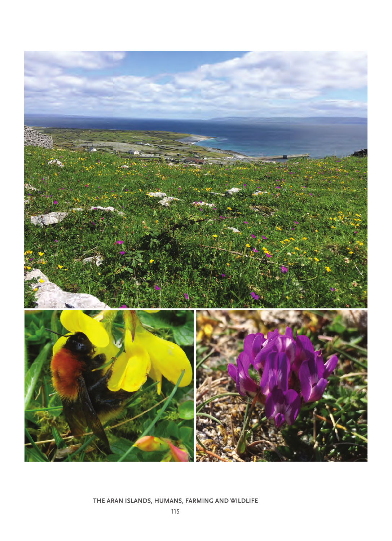

**THE ARAN ISLANDS, HUMANS, FARMING AND WILDLIFE**